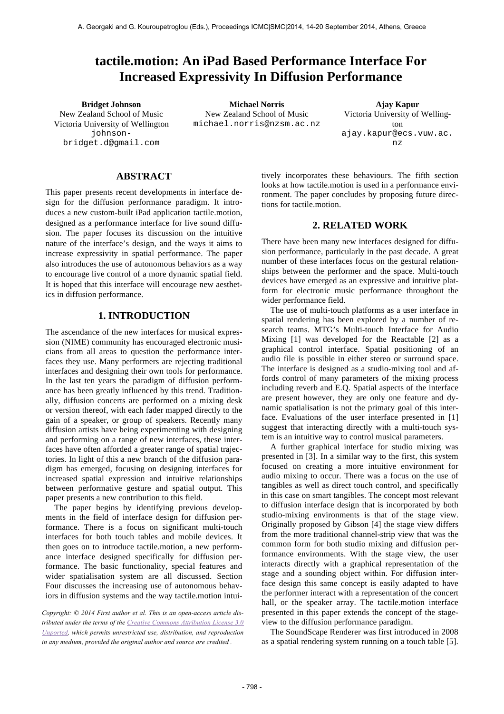# **tactile.motion: An iPad Based Performance Interface For Increased Expressivity In Diffusion Performance**

New Zealand School of Music Victoria University of Wellington johnsonbridget.d@gmail.com

**Bridget Johnson Michael Norris Ajay Kapur** New Zealand School of Music michael.norris@nzsm.ac.nz

Victoria University of Wellington ajay.kapur@ecs.vuw.ac. nz

## **ABSTRACT**

This paper presents recent developments in interface design for the diffusion performance paradigm. It introduces a new custom-built iPad application tactile.motion, designed as a performance interface for live sound diffusion. The paper focuses its discussion on the intuitive nature of the interface's design, and the ways it aims to increase expressivity in spatial performance. The paper also introduces the use of autonomous behaviors as a way to encourage live control of a more dynamic spatial field. It is hoped that this interface will encourage new aesthetics in diffusion performance.

### **1. INTRODUCTION**

The ascendance of the new interfaces for musical expression (NIME) community has encouraged electronic musicians from all areas to question the performance interfaces they use. Many performers are rejecting traditional interfaces and designing their own tools for performance. In the last ten years the paradigm of diffusion performance has been greatly influenced by this trend. Traditionally, diffusion concerts are performed on a mixing desk or version thereof, with each fader mapped directly to the gain of a speaker, or group of speakers. Recently many diffusion artists have being experimenting with designing and performing on a range of new interfaces, these interfaces have often afforded a greater range of spatial trajectories. In light of this a new branch of the diffusion paradigm has emerged, focusing on designing interfaces for increased spatial expression and intuitive relationships between performative gesture and spatial output. This paper presents a new contribution to this field.

The paper begins by identifying previous developments in the field of interface design for diffusion performance. There is a focus on significant multi-touch interfaces for both touch tables and mobile devices. It then goes on to introduce tactile.motion, a new performance interface designed specifically for diffusion performance. The basic functionality, special features and wider spatialisation system are all discussed. Section Four discusses the increasing use of autonomous behaviors in diffusion systems and the way tactile.motion intui-

*Copyright: © 2014 First author et al. This is an open-access article distributed under the terms of the Creative Commons Attribution License 3.0 Unported, which permits unrestricted use, distribution, and reproduction in any medium, provided the original author and source are credited .*

tively incorporates these behaviours. The fifth section looks at how tactile.motion is used in a performance environment. The paper concludes by proposing future directions for tactile.motion.

## **2. RELATED WORK**

There have been many new interfaces designed for diffusion performance, particularly in the past decade. A great number of these interfaces focus on the gestural relationships between the performer and the space. Multi-touch devices have emerged as an expressive and intuitive platform for electronic music performance throughout the wider performance field.

The use of multi-touch platforms as a user interface in spatial rendering has been explored by a number of research teams. MTG's Multi-touch Interface for Audio Mixing [1] was developed for the Reactable [2] as a graphical control interface. Spatial positioning of an audio file is possible in either stereo or surround space. The interface is designed as a studio-mixing tool and affords control of many parameters of the mixing process including reverb and E.Q. Spatial aspects of the interface are present however, they are only one feature and dynamic spatialisation is not the primary goal of this interface. Evaluations of the user interface presented in [1] suggest that interacting directly with a multi-touch system is an intuitive way to control musical parameters.

A further graphical interface for studio mixing was presented in [3]. In a similar way to the first, this system focused on creating a more intuitive environment for audio mixing to occur. There was a focus on the use of tangibles as well as direct touch control, and specifically in this case on smart tangibles. The concept most relevant to diffusion interface design that is incorporated by both studio-mixing environments is that of the stage view. Originally proposed by Gibson [4] the stage view differs from the more traditional channel-strip view that was the common form for both studio mixing and diffusion performance environments. With the stage view, the user interacts directly with a graphical representation of the stage and a sounding object within. For diffusion interface design this same concept is easily adapted to have the performer interact with a representation of the concert hall, or the speaker array. The tactile.motion interface presented in this paper extends the concept of the stageview to the diffusion performance paradigm.

The SoundScape Renderer was first introduced in 2008 as a spatial rendering system running on a touch table [5].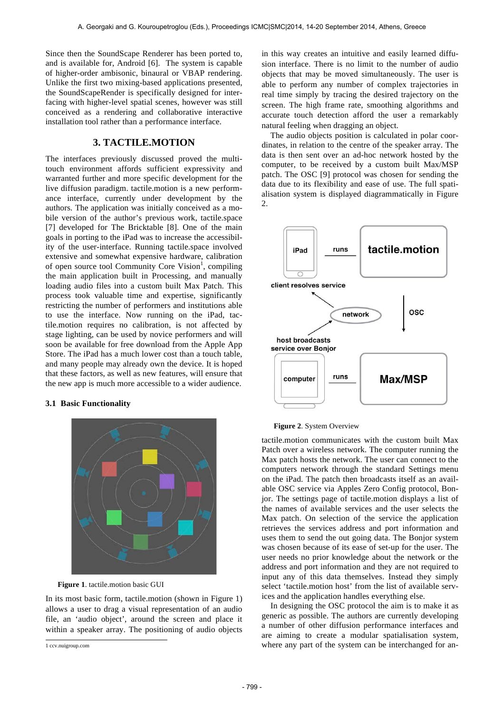Since then the SoundScape Renderer has been ported to, and is available for, Android [6]. The system is capable of higher-order ambisonic, binaural or VBAP rendering. Unlike the first two mixing-based applications presented, the SoundScapeRender is specifically designed for interfacing with higher-level spatial scenes, however was still conceived as a rendering and collaborative interactive installation tool rather than a performance interface.

## **3. TACTILE.MOTION**

The interfaces previously discussed proved the multitouch environment affords sufficient expressivity and warranted further and more specific development for the live diffusion paradigm. tactile.motion is a new performance interface, currently under development by the authors. The application was initially conceived as a mobile version of the author's previous work, tactile.space [7] developed for The Bricktable [8]. One of the main goals in porting to the iPad was to increase the accessibility of the user-interface. Running tactile.space involved extensive and somewhat expensive hardware, calibration of open source tool Community Core Vision<sup>1</sup>, compiling the main application built in Processing, and manually loading audio files into a custom built Max Patch. This process took valuable time and expertise, significantly restricting the number of performers and institutions able to use the interface. Now running on the iPad, tactile.motion requires no calibration, is not affected by stage lighting, can be used by novice performers and will soon be available for free download from the Apple App Store. The iPad has a much lower cost than a touch table, and many people may already own the device. It is hoped that these factors, as well as new features, will ensure that the new app is much more accessible to a wider audience.

#### **3.1 Basic Functionality**



**Figure 1**. tactile.motion basic GUI

In its most basic form, tactile.motion (shown in Figure 1) allows a user to drag a visual representation of an audio file, an 'audio object', around the screen and place it within a speaker array. The positioning of audio objects in this way creates an intuitive and easily learned diffusion interface. There is no limit to the number of audio objects that may be moved simultaneously. The user is able to perform any number of complex trajectories in real time simply by tracing the desired trajectory on the screen. The high frame rate, smoothing algorithms and accurate touch detection afford the user a remarkably natural feeling when dragging an object.

The audio objects position is calculated in polar coordinates, in relation to the centre of the speaker array. The data is then sent over an ad-hoc network hosted by the computer, to be received by a custom built Max/MSP patch. The OSC [9] protocol was chosen for sending the data due to its flexibility and ease of use. The full spatialisation system is displayed diagrammatically in Figure 2.



#### **Figure 2**. System Overview

tactile.motion communicates with the custom built Max Patch over a wireless network. The computer running the Max patch hosts the network. The user can connect to the computers network through the standard Settings menu on the iPad. The patch then broadcasts itself as an available OSC service via Apples Zero Config protocol, Bonjor. The settings page of tactile.motion displays a list of the names of available services and the user selects the Max patch. On selection of the service the application retrieves the services address and port information and uses them to send the out going data. The Bonjor system was chosen because of its ease of set-up for the user. The user needs no prior knowledge about the network or the address and port information and they are not required to input any of this data themselves. Instead they simply select 'tactile.motion host' from the list of available services and the application handles everything else.

In designing the OSC protocol the aim is to make it as generic as possible. The authors are currently developing a number of other diffusion performance interfaces and are aiming to create a modular spatialisation system, where any part of the system can be interchanged for an-

 1 ccv.nuigroup.com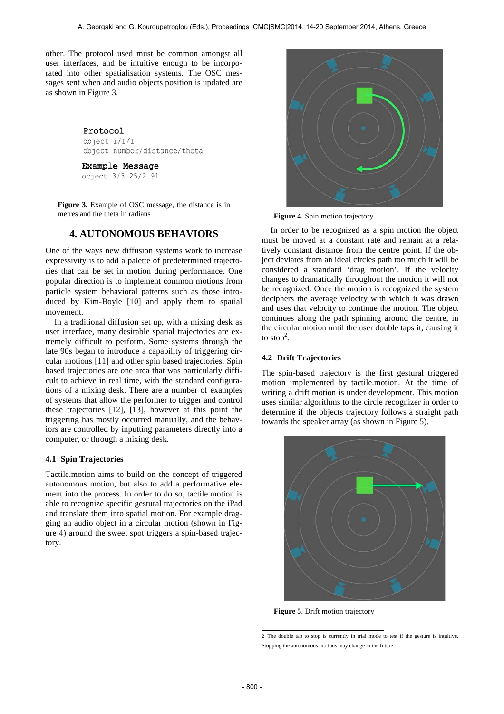other. The protocol used must be common amongst all user interfaces, and be intuitive enough to be incorporated into other spatialisation systems. The OSC messages sent when and audio objects position is updated are as shown in Figure 3.

#### Protocol

 $object i/f/f$ object number/distance/theta

Example Message

object 3/3.25/2.91

**Figure 3.** Example of OSC message, the distance is in metres and the theta in radians

### **4. AUTONOMOUS BEHAVIORS**

One of the ways new diffusion systems work to increase expressivity is to add a palette of predetermined trajectories that can be set in motion during performance. One popular direction is to implement common motions from particle system behavioral patterns such as those introduced by Kim-Boyle [10] and apply them to spatial movement.

In a traditional diffusion set up, with a mixing desk as user interface, many desirable spatial trajectories are extremely difficult to perform. Some systems through the late 90s began to introduce a capability of triggering circular motions [11] and other spin based trajectories. Spin based trajectories are one area that was particularly difficult to achieve in real time, with the standard configurations of a mixing desk. There are a number of examples of systems that allow the performer to trigger and control these trajectories [12], [13], however at this point the triggering has mostly occurred manually, and the behaviors are controlled by inputting parameters directly into a computer, or through a mixing desk.

#### **4.1 Spin Trajectories**

Tactile.motion aims to build on the concept of triggered autonomous motion, but also to add a performative element into the process. In order to do so, tactile.motion is able to recognize specific gestural trajectories on the iPad and translate them into spatial motion. For example dragging an audio object in a circular motion (shown in Figure 4) around the sweet spot triggers a spin-based trajectory.



**Figure 4.** Spin motion trajectory

In order to be recognized as a spin motion the object must be moved at a constant rate and remain at a relatively constant distance from the centre point. If the object deviates from an ideal circles path too much it will be considered a standard 'drag motion'. If the velocity changes to dramatically throughout the motion it will not be recognized. Once the motion is recognized the system deciphers the average velocity with which it was drawn and uses that velocity to continue the motion. The object continues along the path spinning around the centre, in the circular motion until the user double taps it, causing it to stop<sup>2</sup>.

#### **4.2 Drift Trajectories**

The spin-based trajectory is the first gestural triggered motion implemented by tactile.motion. At the time of writing a drift motion is under development. This motion uses similar algorithms to the circle recognizer in order to determine if the objects trajectory follows a straight path towards the speaker array (as shown in Figure 5).



**Figure 5**. Drift motion trajectory

<sup>2</sup> The double tap to stop is currently in trial mode to test if the gesture is intuitive. Stopping the autonomous motions may change in the future.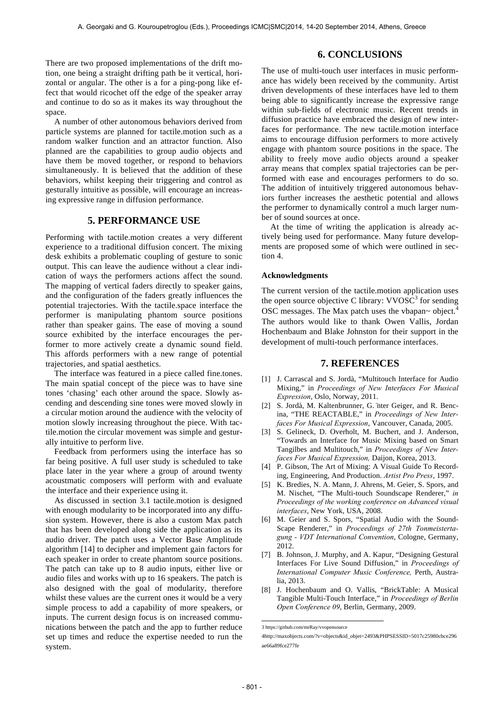There are two proposed implementations of the drift motion, one being a straight drifting path be it vertical, horizontal or angular. The other is a for a ping-pong like effect that would ricochet off the edge of the speaker array and continue to do so as it makes its way throughout the space.

A number of other autonomous behaviors derived from particle systems are planned for tactile.motion such as a random walker function and an attractor function. Also planned are the capabilities to group audio objects and have them be moved together, or respond to behaviors simultaneously. It is believed that the addition of these behaviors, whilst keeping their triggering and control as gesturally intuitive as possible, will encourage an increasing expressive range in diffusion performance.

## **5. PERFORMANCE USE**

Performing with tactile.motion creates a very different experience to a traditional diffusion concert. The mixing desk exhibits a problematic coupling of gesture to sonic output. This can leave the audience without a clear indication of ways the performers actions affect the sound. The mapping of vertical faders directly to speaker gains, and the configuration of the faders greatly influences the potential trajectories. With the tactile.space interface the performer is manipulating phantom source positions rather than speaker gains. The ease of moving a sound source exhibited by the interface encourages the performer to more actively create a dynamic sound field. This affords performers with a new range of potential trajectories, and spatial aesthetics.

The interface was featured in a piece called fine.tones. The main spatial concept of the piece was to have sine tones 'chasing' each other around the space. Slowly ascending and descending sine tones were moved slowly in a circular motion around the audience with the velocity of motion slowly increasing throughout the piece. With tactile.motion the circular movement was simple and gesturally intuitive to perform live.

Feedback from performers using the interface has so far being positive. A full user study is scheduled to take place later in the year where a group of around twenty acoustmatic composers will perform with and evaluate the interface and their experience using it.

As discussed in section 3.1 tactile.motion is designed with enough modularity to be incorporated into any diffusion system. However, there is also a custom Max patch that has been developed along side the application as its audio driver. The patch uses a Vector Base Amplitude algorithm [14] to decipher and implement gain factors for each speaker in order to create phantom source positions. The patch can take up to 8 audio inputs, either live or audio files and works with up to 16 speakers. The patch is also designed with the goal of modularity, therefore whilst these values are the current ones it would be a very simple process to add a capability of more speakers, or inputs. The current design focus is on increased communications between the patch and the app to further reduce set up times and reduce the expertise needed to run the system.

## **6. CONCLUSIONS**

The use of multi-touch user interfaces in music performance has widely been received by the community. Artist driven developments of these interfaces have led to them being able to significantly increase the expressive range within sub-fields of electronic music. Recent trends in diffusion practice have embraced the design of new interfaces for performance. The new tactile.motion interface aims to encourage diffusion performers to more actively engage with phantom source positions in the space. The ability to freely move audio objects around a speaker array means that complex spatial trajectories can be performed with ease and encourages performers to do so. The addition of intuitively triggered autonomous behaviors further increases the aesthetic potential and allows the performer to dynamically control a much larger number of sound sources at once.

At the time of writing the application is already actively being used for performance. Many future developments are proposed some of which were outlined in section 4.

#### **Acknowledgments**

The current version of the tactile.motion application uses the open source objective C library:  $VVOSC<sup>3</sup>$  for sending OSC messages. The Max patch uses the vbapan $\sim$  object.<sup>4</sup> The authors would like to thank Owen Vallis, Jordan Hochenbaum and Blake Johnston for their support in the development of multi-touch performance interfaces.

#### **7. REFERENCES**

- [1] J. Carrascal and S. Jordà, "Multitouch Interface for Audio Mixing," in *Proceedings of New Interfaces For Musical Expression*, Oslo, Norway, 2011.
- [2] S. Jordà, M. Kaltenbrunner, G. ̈nter Geiger, and R. Bencina, "THE REACTABLE," in *Proceedings of New Interfaces For Musical Expression*, Vancouver, Canada, 2005.
- [3] S. Gelineck, D. Overholt, M. Buchert, and J. Anderson, "Towards an Interface for Music Mixing based on Smart Tangilbes and Multitouch," in *Proceedings of New Interfaces For Musical Expression,* Daijon, Korea, 2013.
- [4] P. Gibson, The Art of Mixing: A Visual Guide To Recording, Engineering, And Production. *Artist Pro Press*, 1997.
- [5] K. Bredies, N. A. Mann, J. Ahrens, M. Geier, S. Spors, and M. Nischet, "The Multi-touch Soundscape Renderer," *in Proceedings of the working conference on Advanced visual interfaces*, New York, USA, 2008.
- [6] M. Geier and S. Spors, "Spatial Audio with the Sound-Scape Renderer," in *Proceedings of 27th Tonmeistertagung - VDT International Convention*, Cologne, Germany, 2012.
- [7] B. Johnson, J. Murphy, and A. Kapur, "Designing Gestural Interfaces For Live Sound Diffusion," in *Proceedings of International Computer Music Conference,* Perth, Australia, 2013.
- [8] J. Hochenbaum and O. Vallis, "BrickTable: A Musical Tangible Multi-Touch Interface," in *Proceedings of Berlin Open Conference 09*, Berlin, Germany, 2009.

 3 https://github.com/mrRay/vvopensource

<sup>4</sup>http://maxobjects.com/?v=objects&id\_objet=2493&PHPSESSID=5017c25980cbce296 ae66a89fce277fe